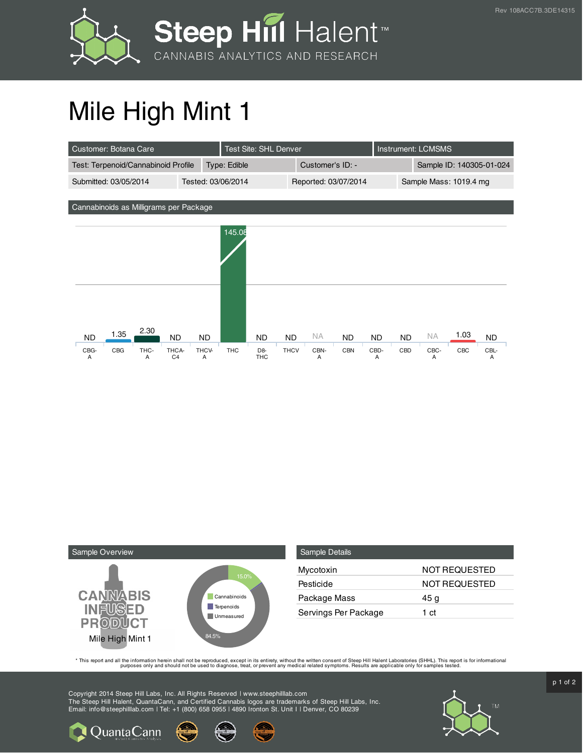



## Mile High Mint 1

| Customer: Botana Care                                    |            |                    | Test Site: SHL Denver          |             |                      |            |           | Instrument: LCMSMS       |           |      |           |  |
|----------------------------------------------------------|------------|--------------------|--------------------------------|-------------|----------------------|------------|-----------|--------------------------|-----------|------|-----------|--|
| Test: Terpenoid/Cannabinoid Profile                      |            | Type: Edible       |                                |             | Customer's ID: -     |            |           | Sample ID: 140305-01-024 |           |      |           |  |
| Submitted: 03/05/2014                                    |            | Tested: 03/06/2014 |                                |             | Reported: 03/07/2014 |            |           | Sample Mass: 1019.4 mg   |           |      |           |  |
| Cannabinoids as Milligrams per Package                   |            |                    |                                |             |                      |            |           |                          |           |      |           |  |
|                                                          |            |                    |                                |             |                      |            |           |                          |           |      |           |  |
|                                                          |            | 145.08             |                                |             |                      |            |           |                          |           |      |           |  |
|                                                          |            |                    |                                |             |                      |            |           |                          |           |      |           |  |
|                                                          |            |                    |                                |             |                      |            |           |                          |           |      |           |  |
|                                                          |            |                    |                                |             |                      |            |           |                          |           |      |           |  |
|                                                          |            |                    |                                |             |                      |            |           |                          |           |      |           |  |
| 2.30<br>1.35<br><b>ND</b><br><b>ND</b>                   | <b>ND</b>  |                    | ND.                            | <b>ND</b>   | <b>NA</b>            | <b>ND</b>  | <b>ND</b> | <b>ND</b>                | <b>NA</b> | 1.03 | <b>ND</b> |  |
| CBG<br>THC-<br>CBG-<br>THCA-<br>C <sub>4</sub><br>Α<br>Α | THCV-<br>Α | <b>THC</b>         | D <sub>8</sub> -<br><b>THC</b> | <b>THCV</b> | CBN-<br>Α            | <b>CBN</b> | CBD-<br>Α | CBD                      | CBC-<br>A | CBC  | CBL-<br>Α |  |



| Sample Details       |               |
|----------------------|---------------|
| Mycotoxin            | NOT REQUESTED |
| Pesticide            | NOT REQUESTED |
| Package Mass         | 45 g          |
| Servings Per Package | 1 ct          |

This report and all the information herein shall not be reporduced, except in its entirety, without the written consent of Steep Hill Halent Laboratories (SHHL). This report is for informational all the instance, treat, or

Copyright 2014 Steep Hill Labs, Inc. All Rights Reserved | www.steephilllab.com The Steep Hill Halent, QuantaCann, and Certified Cannabis logos are trademarks of Steep Hill Labs, Inc. Email: info@steephilllab.com | Tel: +1 (800) 658 0955 | 4890 Ironton St. Unit I | Denver, CO 80239